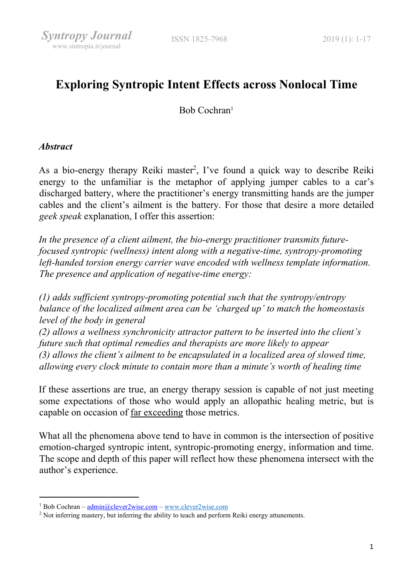# Exploring Syntropic Intent Effects across Nonlocal Time

Bob Cochran<sup>1</sup>

### **Abstract**

As a bio-energy therapy Reiki master<sup>2</sup>, I've found a quick way to describe Reiki energy to the unfamiliar is the metaphor of applying jumper cables to a car's discharged battery, where the practitioner's energy transmitting hands are the jumper cables and the client's ailment is the battery. For those that desire a more detailed geek speak explanation, I offer this assertion:

In the presence of a client ailment, the bio-energy practitioner transmits futurefocused syntropic (wellness) intent along with a negative-time, syntropy-promoting left-handed torsion energy carrier wave encoded with wellness template information. The presence and application of negative-time energy:

(1) adds sufficient syntropy-promoting potential such that the syntropy/entropy balance of the localized ailment area can be 'charged up' to match the homeostasis level of the body in general (2) allows a wellness synchronicity attractor pattern to be inserted into the client's future such that optimal remedies and therapists are more likely to appear (3) allows the client's ailment to be encapsulated in a localized area of slowed time, allowing every clock minute to contain more than a minute's worth of healing time

If these assertions are true, an energy therapy session is capable of not just meeting some expectations of those who would apply an allopathic healing metric, but is capable on occasion of far exceeding those metrics.

What all the phenomena above tend to have in common is the intersection of positive emotion-charged syntropic intent, syntropic-promoting energy, information and time. The scope and depth of this paper will reflect how these phenomena intersect with the author's experience.

<sup>&</sup>lt;sup>1</sup> Bob Cochran – admin@clever2wise.com – www.clever2wise.com

<sup>&</sup>lt;sup>2</sup> Not inferring mastery, but inferring the ability to teach and perform Reiki energy attunements.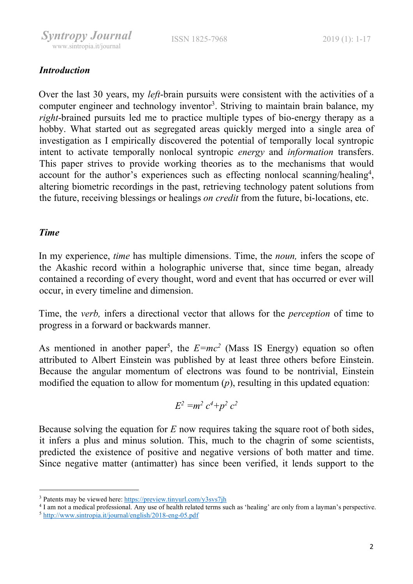

# **Introduction**

Over the last 30 years, my *left*-brain pursuits were consistent with the activities of a computer engineer and technology inventor<sup>3</sup>. Striving to maintain brain balance, my right-brained pursuits led me to practice multiple types of bio-energy therapy as a hobby. What started out as segregated areas quickly merged into a single area of investigation as I empirically discovered the potential of temporally local syntropic intent to activate temporally nonlocal syntropic energy and information transfers. This paper strives to provide working theories as to the mechanisms that would account for the author's experiences such as effecting nonlocal scanning/healing<sup>4</sup>, altering biometric recordings in the past, retrieving technology patent solutions from the future, receiving blessings or healings on credit from the future, bi-locations, etc.

### Time

In my experience, *time* has multiple dimensions. Time, the *noun*, infers the scope of the Akashic record within a holographic universe that, since time began, already contained a recording of every thought, word and event that has occurred or ever will occur, in every timeline and dimension.

Time, the verb, infers a directional vector that allows for the perception of time to progress in a forward or backwards manner.

As mentioned in another paper<sup>5</sup>, the  $E=mc^2$  (Mass IS Energy) equation so often attributed to Albert Einstein was published by at least three others before Einstein. Because the angular momentum of electrons was found to be nontrivial, Einstein modified the equation to allow for momentum  $(p)$ , resulting in this updated equation:

$$
E^2 = m^2 c^4 + p^2 c^2
$$

Because solving the equation for  $E$  now requires taking the square root of both sides, it infers a plus and minus solution. This, much to the chagrin of some scientists, predicted the existence of positive and negative versions of both matter and time. Since negative matter (antimatter) has since been verified, it lends support to the

<sup>&</sup>lt;sup>3</sup> Patents may be viewed here: https://preview.tinyurl.com/y3svs7jh

<sup>4</sup> I am not a medical professional. Any use of health related terms such as 'healing' are only from a layman's perspective.

<sup>5</sup> http://www.sintropia.it/journal/english/2018-eng-05.pdf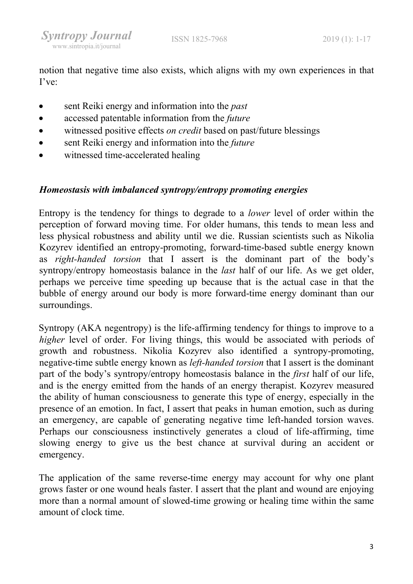notion that negative time also exists, which aligns with my own experiences in that I've:

- sent Reiki energy and information into the *past*
- accessed patentable information from the *future*
- witnessed positive effects *on credit* based on past/future blessings
- **•** sent Reiki energy and information into the *future*
- witnessed time-accelerated healing

## Homeostasis with imbalanced syntropy/entropy promoting energies

Entropy is the tendency for things to degrade to a lower level of order within the perception of forward moving time. For older humans, this tends to mean less and less physical robustness and ability until we die. Russian scientists such as Nikolia Kozyrev identified an entropy-promoting, forward-time-based subtle energy known as right-handed torsion that I assert is the dominant part of the body's syntropy/entropy homeostasis balance in the last half of our life. As we get older, perhaps we perceive time speeding up because that is the actual case in that the bubble of energy around our body is more forward-time energy dominant than our surroundings.

Syntropy (AKA negentropy) is the life-affirming tendency for things to improve to a higher level of order. For living things, this would be associated with periods of growth and robustness. Nikolia Kozyrev also identified a syntropy-promoting, negative-time subtle energy known as left-handed torsion that I assert is the dominant part of the body's syntropy/entropy homeostasis balance in the first half of our life, and is the energy emitted from the hands of an energy therapist. Kozyrev measured the ability of human consciousness to generate this type of energy, especially in the presence of an emotion. In fact, I assert that peaks in human emotion, such as during an emergency, are capable of generating negative time left-handed torsion waves. Perhaps our consciousness instinctively generates a cloud of life-affirming, time slowing energy to give us the best chance at survival during an accident or emergency.

The application of the same reverse-time energy may account for why one plant grows faster or one wound heals faster. I assert that the plant and wound are enjoying more than a normal amount of slowed-time growing or healing time within the same amount of clock time.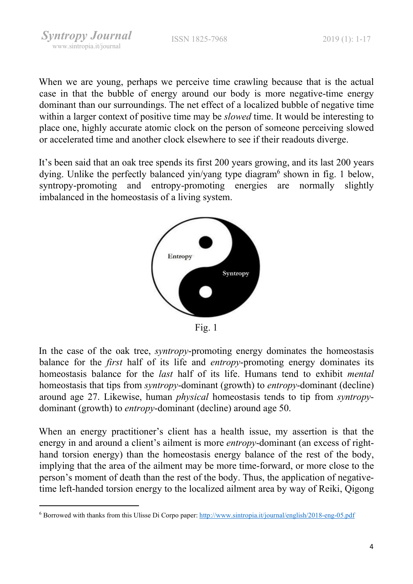Syntropy Journal www.sintropia.it/journal

When we are young, perhaps we perceive time crawling because that is the actual case in that the bubble of energy around our body is more negative-time energy dominant than our surroundings. The net effect of a localized bubble of negative time within a larger context of positive time may be *slowed* time. It would be interesting to place one, highly accurate atomic clock on the person of someone perceiving slowed or accelerated time and another clock elsewhere to see if their readouts diverge.

It's been said that an oak tree spends its first 200 years growing, and its last 200 years dying. Unlike the perfectly balanced yin/yang type diagram<sup>6</sup> shown in fig. 1 below, syntropy-promoting and entropy-promoting energies are normally slightly imbalanced in the homeostasis of a living system.



Fig. 1

In the case of the oak tree, syntropy-promoting energy dominates the homeostasis balance for the *first* half of its life and *entropy*-promoting energy dominates its homeostasis balance for the last half of its life. Humans tend to exhibit mental homeostasis that tips from *syntropy*-dominant (growth) to *entropy*-dominant (decline) around age 27. Likewise, human physical homeostasis tends to tip from syntropydominant (growth) to entropy-dominant (decline) around age 50.

When an energy practitioner's client has a health issue, my assertion is that the energy in and around a client's ailment is more entropy-dominant (an excess of righthand torsion energy) than the homeostasis energy balance of the rest of the body, implying that the area of the ailment may be more time-forward, or more close to the person's moment of death than the rest of the body. Thus, the application of negativetime left-handed torsion energy to the localized ailment area by way of Reiki, Qigong

<sup>&</sup>lt;sup>6</sup> Borrowed with thanks from this Ulisse Di Corpo paper: http://www.sintropia.it/journal/english/2018-eng-05.pdf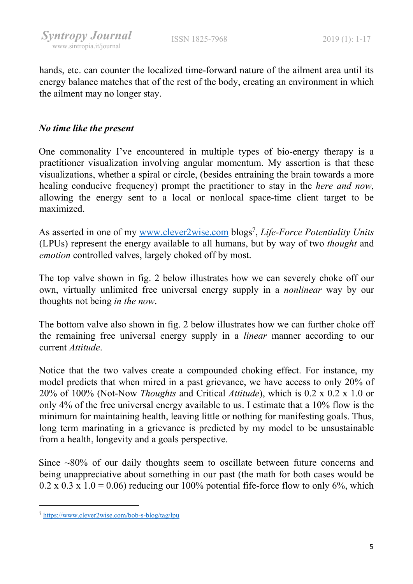hands, etc. can counter the localized time-forward nature of the ailment area until its energy balance matches that of the rest of the body, creating an environment in which the ailment may no longer stay.

### No time like the present

One commonality I've encountered in multiple types of bio-energy therapy is a practitioner visualization involving angular momentum. My assertion is that these visualizations, whether a spiral or circle, (besides entraining the brain towards a more healing conducive frequency) prompt the practitioner to stay in the *here and now*, allowing the energy sent to a local or nonlocal space-time client target to be maximized.

As asserted in one of my www.clever2wise.com blogs<sup>7</sup>, Life-Force Potentiality Units (LPUs) represent the energy available to all humans, but by way of two thought and emotion controlled valves, largely choked off by most.

The top valve shown in fig. 2 below illustrates how we can severely choke off our own, virtually unlimited free universal energy supply in a nonlinear way by our thoughts not being in the now.

The bottom valve also shown in fig. 2 below illustrates how we can further choke off the remaining free universal energy supply in a linear manner according to our current Attitude.

Notice that the two valves create a compounded choking effect. For instance, my model predicts that when mired in a past grievance, we have access to only 20% of 20% of 100% (Not-Now *Thoughts* and Critical *Attitude*), which is 0.2 x 0.2 x 1.0 or only 4% of the free universal energy available to us. I estimate that a 10% flow is the minimum for maintaining health, leaving little or nothing for manifesting goals. Thus, long term marinating in a grievance is predicted by my model to be unsustainable from a health, longevity and a goals perspective.

Since ~80% of our daily thoughts seem to oscillate between future concerns and being unappreciative about something in our past (the math for both cases would be  $0.2 \times 0.3 \times 1.0 = 0.06$ ) reducing our 100% potential fife-force flow to only 6%, which

<sup>7</sup> https://www.clever2wise.com/bob-s-blog/tag/lpu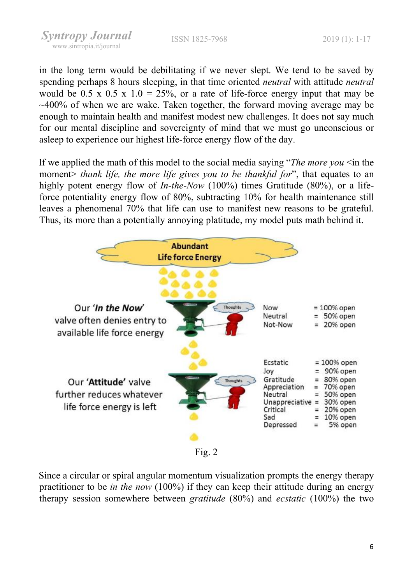Syntropy Journal www.sintropia.it/journal

ISSN 1825-7968 2019 (1): 1-17

in the long term would be debilitating if we never slept. We tend to be saved by spending perhaps 8 hours sleeping, in that time oriented neutral with attitude neutral would be 0.5 x 0.5 x 1.0 = 25%, or a rate of life-force energy input that may be ~400% of when we are wake. Taken together, the forward moving average may be enough to maintain health and manifest modest new challenges. It does not say much for our mental discipline and sovereignty of mind that we must go unconscious or asleep to experience our highest life-force energy flow of the day.

If we applied the math of this model to the social media saying "The more you  $\leq$  in the moment> thank life, the more life gives you to be thankful for", that equates to an highly potent energy flow of *In-the-Now* (100%) times Gratitude (80%), or a lifeforce potentiality energy flow of 80%, subtracting 10% for health maintenance still leaves a phenomenal 70% that life can use to manifest new reasons to be grateful. Thus, its more than a potentially annoying platitude, my model puts math behind it.



Since a circular or spiral angular momentum visualization prompts the energy therapy practitioner to be in the now (100%) if they can keep their attitude during an energy therapy session somewhere between gratitude (80%) and ecstatic (100%) the two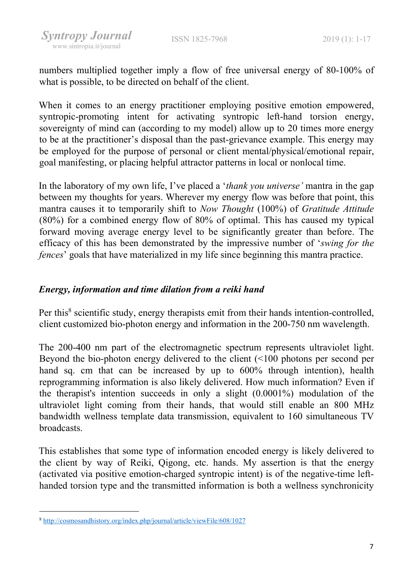numbers multiplied together imply a flow of free universal energy of 80-100% of what is possible, to be directed on behalf of the client.

When it comes to an energy practitioner employing positive emotion empowered, syntropic-promoting intent for activating syntropic left-hand torsion energy, sovereignty of mind can (according to my model) allow up to 20 times more energy to be at the practitioner's disposal than the past-grievance example. This energy may be employed for the purpose of personal or client mental/physical/emotional repair, goal manifesting, or placing helpful attractor patterns in local or nonlocal time.

In the laboratory of my own life, I've placed a '*thank you universe'* mantra in the gap between my thoughts for years. Wherever my energy flow was before that point, this mantra causes it to temporarily shift to Now Thought (100%) of Gratitude Attitude (80%) for a combined energy flow of 80% of optimal. This has caused my typical forward moving average energy level to be significantly greater than before. The efficacy of this has been demonstrated by the impressive number of 'swing for the fences' goals that have materialized in my life since beginning this mantra practice.

## Energy, information and time dilation from a reiki hand

Per this<sup>8</sup> scientific study, energy therapists emit from their hands intention-controlled, client customized bio-photon energy and information in the 200-750 nm wavelength.

The 200-400 nm part of the electromagnetic spectrum represents ultraviolet light. Beyond the bio-photon energy delivered to the client (<100 photons per second per hand sq. cm that can be increased by up to 600% through intention), health reprogramming information is also likely delivered. How much information? Even if the therapist's intention succeeds in only a slight (0.0001%) modulation of the ultraviolet light coming from their hands, that would still enable an 800 MHz bandwidth wellness template data transmission, equivalent to 160 simultaneous TV broadcasts.

This establishes that some type of information encoded energy is likely delivered to the client by way of Reiki, Qigong, etc. hands. My assertion is that the energy (activated via positive emotion-charged syntropic intent) is of the negative-time lefthanded torsion type and the transmitted information is both a wellness synchronicity

<sup>8</sup> http://cosmosandhistory.org/index.php/journal/article/viewFile/608/1027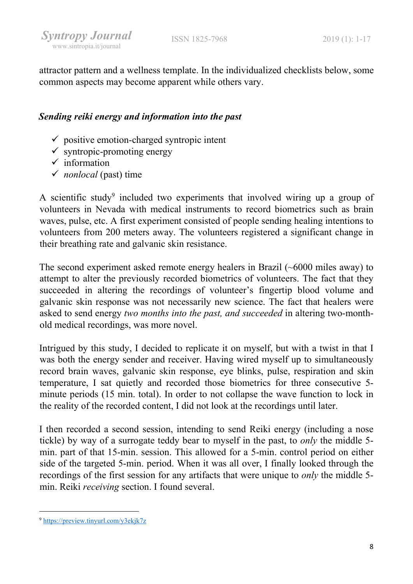attractor pattern and a wellness template. In the individualized checklists below, some common aspects may become apparent while others vary.

# Sending reiki energy and information into the past

- $\checkmark$  positive emotion-charged syntropic intent
- $\checkmark$  syntropic-promoting energy
- $\checkmark$  information
- $\checkmark$  nonlocal (past) time

A scientific study<sup>9</sup> included two experiments that involved wiring up a group of volunteers in Nevada with medical instruments to record biometrics such as brain waves, pulse, etc. A first experiment consisted of people sending healing intentions to volunteers from 200 meters away. The volunteers registered a significant change in their breathing rate and galvanic skin resistance.

The second experiment asked remote energy healers in Brazil (~6000 miles away) to attempt to alter the previously recorded biometrics of volunteers. The fact that they succeeded in altering the recordings of volunteer's fingertip blood volume and galvanic skin response was not necessarily new science. The fact that healers were asked to send energy two months into the past, and succeeded in altering two-monthold medical recordings, was more novel.

Intrigued by this study, I decided to replicate it on myself, but with a twist in that I was both the energy sender and receiver. Having wired myself up to simultaneously record brain waves, galvanic skin response, eye blinks, pulse, respiration and skin temperature, I sat quietly and recorded those biometrics for three consecutive 5 minute periods (15 min. total). In order to not collapse the wave function to lock in the reality of the recorded content, I did not look at the recordings until later.

I then recorded a second session, intending to send Reiki energy (including a nose tickle) by way of a surrogate teddy bear to myself in the past, to only the middle 5 min. part of that 15-min. session. This allowed for a 5-min. control period on either side of the targeted 5-min. period. When it was all over, I finally looked through the recordings of the first session for any artifacts that were unique to only the middle 5 min. Reiki receiving section. I found several.

<sup>9</sup> https://preview.tinyurl.com/y3ekjk7z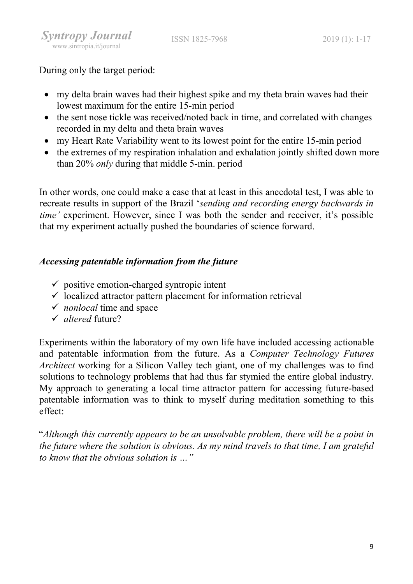During only the target period:

- my delta brain waves had their highest spike and my theta brain waves had their lowest maximum for the entire 15-min period
- the sent nose tickle was received/noted back in time, and correlated with changes recorded in my delta and theta brain waves
- my Heart Rate Variability went to its lowest point for the entire 15-min period
- the extremes of my respiration inhalation and exhalation jointly shifted down more than 20% only during that middle 5-min. period

In other words, one could make a case that at least in this anecdotal test, I was able to recreate results in support of the Brazil 'sending and recording energy backwards in time' experiment. However, since I was both the sender and receiver, it's possible that my experiment actually pushed the boundaries of science forward.

# Accessing patentable information from the future

- $\checkmark$  positive emotion-charged syntropic intent
- $\checkmark$  localized attractor pattern placement for information retrieval
- $\checkmark$  *nonlocal* time and space
- $\checkmark$  altered future?

Experiments within the laboratory of my own life have included accessing actionable and patentable information from the future. As a Computer Technology Futures Architect working for a Silicon Valley tech giant, one of my challenges was to find solutions to technology problems that had thus far stymied the entire global industry. My approach to generating a local time attractor pattern for accessing future-based patentable information was to think to myself during meditation something to this effect:

"Although this currently appears to be an unsolvable problem, there will be a point in the future where the solution is obvious. As my mind travels to that time, I am grateful to know that the obvious solution is …"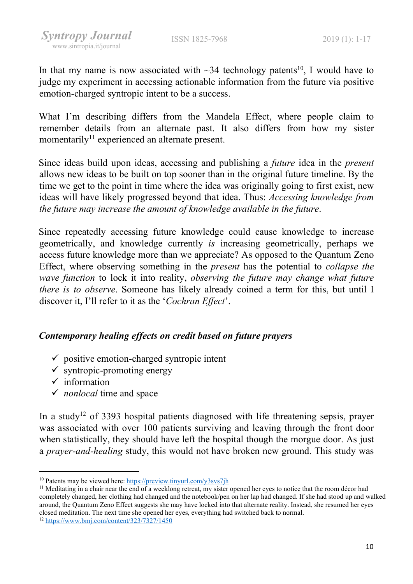In that my name is now associated with  $\sim$ 34 technology patents<sup>10</sup>, I would have to judge my experiment in accessing actionable information from the future via positive emotion-charged syntropic intent to be a success.

What I'm describing differs from the Mandela Effect, where people claim to remember details from an alternate past. It also differs from how my sister momentarily<sup>11</sup> experienced an alternate present.

Since ideas build upon ideas, accessing and publishing a future idea in the present allows new ideas to be built on top sooner than in the original future timeline. By the time we get to the point in time where the idea was originally going to first exist, new ideas will have likely progressed beyond that idea. Thus: Accessing knowledge from the future may increase the amount of knowledge available in the future.

Since repeatedly accessing future knowledge could cause knowledge to increase geometrically, and knowledge currently is increasing geometrically, perhaps we access future knowledge more than we appreciate? As opposed to the Quantum Zeno Effect, where observing something in the present has the potential to collapse the wave function to lock it into reality, observing the future may change what future there is to observe. Someone has likely already coined a term for this, but until I discover it, I'll refer to it as the 'Cochran Effect'.

### Contemporary healing effects on credit based on future prayers

- $\checkmark$  positive emotion-charged syntropic intent
- $\checkmark$  syntropic-promoting energy
- $\checkmark$  information
- $\checkmark$  nonlocal time and space

In a study<sup>12</sup> of 3393 hospital patients diagnosed with life threatening sepsis, prayer was associated with over 100 patients surviving and leaving through the front door when statistically, they should have left the hospital though the morgue door. As just a prayer-and-healing study, this would not have broken new ground. This study was

<sup>10</sup> Patents may be viewed here: https://preview.tinyurl.com/y3svs7jh

 $11$  Meditating in a chair near the end of a weeklong retreat, my sister opened her eyes to notice that the room décor had completely changed, her clothing had changed and the notebook/pen on her lap had changed. If she had stood up and walked around, the Quantum Zeno Effect suggests she may have locked into that alternate reality. Instead, she resumed her eyes closed meditation. The next time she opened her eyes, everything had switched back to normal.

<sup>12</sup> https://www.bmj.com/content/323/7327/1450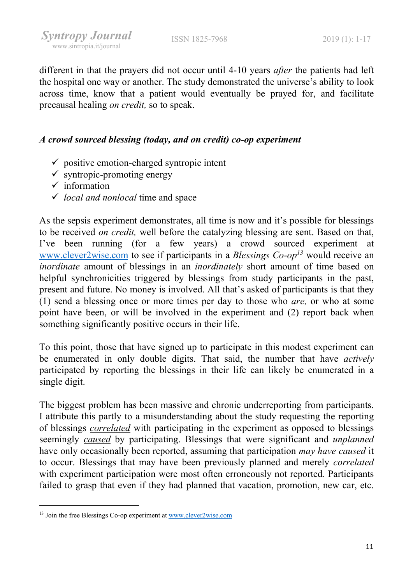different in that the prayers did not occur until 4-10 years *after* the patients had left the hospital one way or another. The study demonstrated the universe's ability to look across time, know that a patient would eventually be prayed for, and facilitate precausal healing on credit, so to speak.

### A crowd sourced blessing (today, and on credit) co-op experiment

- $\checkmark$  positive emotion-charged syntropic intent
- $\checkmark$  syntropic-promoting energy
- $\checkmark$  information
- $\checkmark$  local and nonlocal time and space

As the sepsis experiment demonstrates, all time is now and it's possible for blessings to be received on credit, well before the catalyzing blessing are sent. Based on that, I've been running (for a few years) a crowd sourced experiment at www.clever2wise.com to see if participants in a Blessings  $Co$ -op<sup>13</sup> would receive an inordinate amount of blessings in an *inordinately* short amount of time based on helpful synchronicities triggered by blessings from study participants in the past, present and future. No money is involved. All that's asked of participants is that they (1) send a blessing once or more times per day to those who *are*, or who at some point have been, or will be involved in the experiment and (2) report back when something significantly positive occurs in their life.

To this point, those that have signed up to participate in this modest experiment can be enumerated in only double digits. That said, the number that have actively participated by reporting the blessings in their life can likely be enumerated in a single digit.

The biggest problem has been massive and chronic underreporting from participants. I attribute this partly to a misunderstanding about the study requesting the reporting of blessings correlated with participating in the experiment as opposed to blessings seemingly *caused* by participating. Blessings that were significant and *unplanned* have only occasionally been reported, assuming that participation may have caused it to occur. Blessings that may have been previously planned and merely correlated with experiment participation were most often erroneously not reported. Participants failed to grasp that even if they had planned that vacation, promotion, new car, etc.

<sup>13</sup> Join the free Blessings Co-op experiment at www.clever2wise.com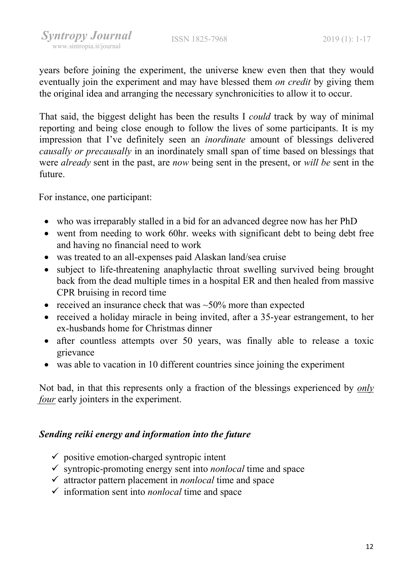years before joining the experiment, the universe knew even then that they would eventually join the experiment and may have blessed them *on credit* by giving them the original idea and arranging the necessary synchronicities to allow it to occur.

That said, the biggest delight has been the results I could track by way of minimal reporting and being close enough to follow the lives of some participants. It is my impression that I've definitely seen an inordinate amount of blessings delivered causally or precausally in an inordinately small span of time based on blessings that were *already* sent in the past, are *now* being sent in the present, or *will be* sent in the future.

For instance, one participant:

- who was irreparably stalled in a bid for an advanced degree now has her PhD
- went from needing to work 60hr. weeks with significant debt to being debt free and having no financial need to work
- was treated to an all-expenses paid Alaskan land/sea cruise
- subject to life-threatening anaphylactic throat swelling survived being brought back from the dead multiple times in a hospital ER and then healed from massive CPR bruising in record time
- received an insurance check that was  $\sim$  50% more than expected
- received a holiday miracle in being invited, after a 35-year estrangement, to her ex-husbands home for Christmas dinner
- after countless attempts over 50 years, was finally able to release a toxic grievance
- was able to vacation in 10 different countries since joining the experiment

Not bad, in that this represents only a fraction of the blessings experienced by *only* four early jointers in the experiment.

#### Sending reiki energy and information into the future

- $\checkmark$  positive emotion-charged syntropic intent
- $\checkmark$  syntropic-promoting energy sent into *nonlocal* time and space
- $\checkmark$  attractor pattern placement in *nonlocal* time and space
- $\checkmark$  information sent into *nonlocal* time and space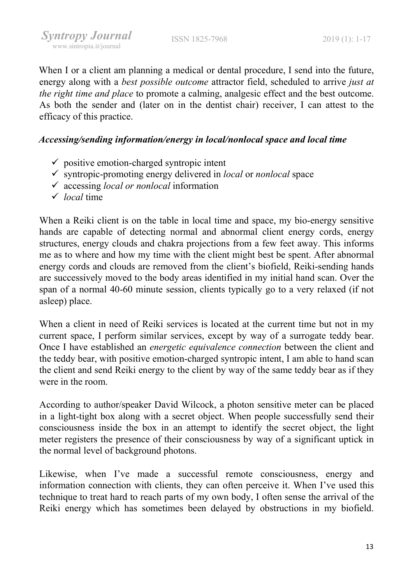When I or a client am planning a medical or dental procedure, I send into the future, energy along with a *best possible outcome* attractor field, scheduled to arrive *just at* the right time and place to promote a calming, analgesic effect and the best outcome. As both the sender and (later on in the dentist chair) receiver, I can attest to the efficacy of this practice.

### Accessing/sending information/energy in local/nonlocal space and local time

- $\checkmark$  positive emotion-charged syntropic intent
- $\checkmark$  syntropic-promoting energy delivered in *local* or *nonlocal* space
- $\checkmark$  accessing *local or nonlocal* information
- $\checkmark$  local time

When a Reiki client is on the table in local time and space, my bio-energy sensitive hands are capable of detecting normal and abnormal client energy cords, energy structures, energy clouds and chakra projections from a few feet away. This informs me as to where and how my time with the client might best be spent. After abnormal energy cords and clouds are removed from the client's biofield, Reiki-sending hands are successively moved to the body areas identified in my initial hand scan. Over the span of a normal 40-60 minute session, clients typically go to a very relaxed (if not asleep) place.

When a client in need of Reiki services is located at the current time but not in my current space, I perform similar services, except by way of a surrogate teddy bear. Once I have established an energetic equivalence connection between the client and the teddy bear, with positive emotion-charged syntropic intent, I am able to hand scan the client and send Reiki energy to the client by way of the same teddy bear as if they were in the room.

According to author/speaker David Wilcock, a photon sensitive meter can be placed in a light-tight box along with a secret object. When people successfully send their consciousness inside the box in an attempt to identify the secret object, the light meter registers the presence of their consciousness by way of a significant uptick in the normal level of background photons.

Likewise, when I've made a successful remote consciousness, energy and information connection with clients, they can often perceive it. When I've used this technique to treat hard to reach parts of my own body, I often sense the arrival of the Reiki energy which has sometimes been delayed by obstructions in my biofield.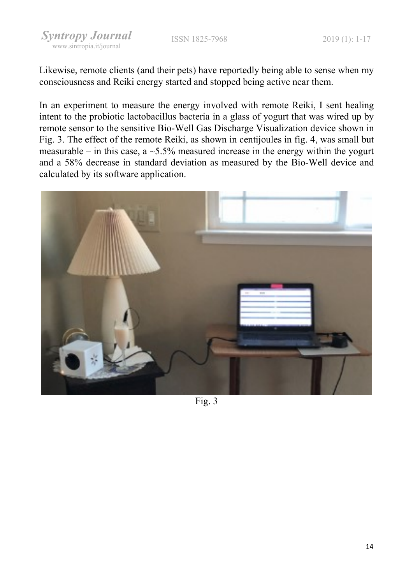Likewise, remote clients (and their pets) have reportedly being able to sense when my consciousness and Reiki energy started and stopped being active near them.

In an experiment to measure the energy involved with remote Reiki, I sent healing intent to the probiotic lactobacillus bacteria in a glass of yogurt that was wired up by remote sensor to the sensitive Bio-Well Gas Discharge Visualization device shown in Fig. 3. The effect of the remote Reiki, as shown in centijoules in fig. 4, was small but measurable – in this case, a  $\sim$  5.5% measured increase in the energy within the yogurt and a 58% decrease in standard deviation as measured by the Bio-Well device and calculated by its software application.



Fig. 3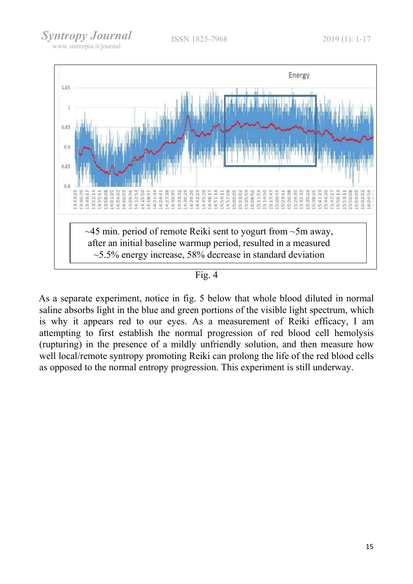

Fig. 4

As a separate experiment, notice in fig. 5 below that whole blood diluted in normal saline absorbs light in the blue and green portions of the visible light spectrum, which is why it appears red to our eyes. As a measurement of Reiki efficacy, I am attempting to first establish the normal progression of red blood cell hemolysis (rupturing) in the presence of a mildly unfriendly solution, and then measure how well local/remote syntropy promoting Reiki can prolong the life of the red blood cells as opposed to the normal entropy progression. This experiment is still underway.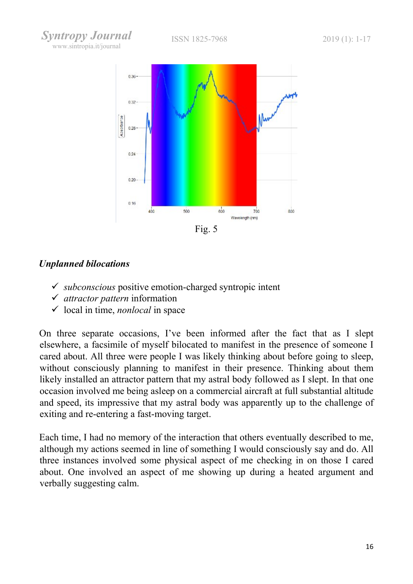Syntropy Journal www.sintropia.it/journal



### Unplanned bilocations

- $\checkmark$  subconscious positive emotion-charged syntropic intent
- $\checkmark$  attractor pattern information
- $\checkmark$  local in time, *nonlocal* in space

On three separate occasions, I've been informed after the fact that as I slept elsewhere, a facsimile of myself bilocated to manifest in the presence of someone I cared about. All three were people I was likely thinking about before going to sleep, without consciously planning to manifest in their presence. Thinking about them likely installed an attractor pattern that my astral body followed as I slept. In that one occasion involved me being asleep on a commercial aircraft at full substantial altitude and speed, its impressive that my astral body was apparently up to the challenge of exiting and re-entering a fast-moving target.

Each time, I had no memory of the interaction that others eventually described to me, although my actions seemed in line of something I would consciously say and do. All three instances involved some physical aspect of me checking in on those I cared about. One involved an aspect of me showing up during a heated argument and verbally suggesting calm.